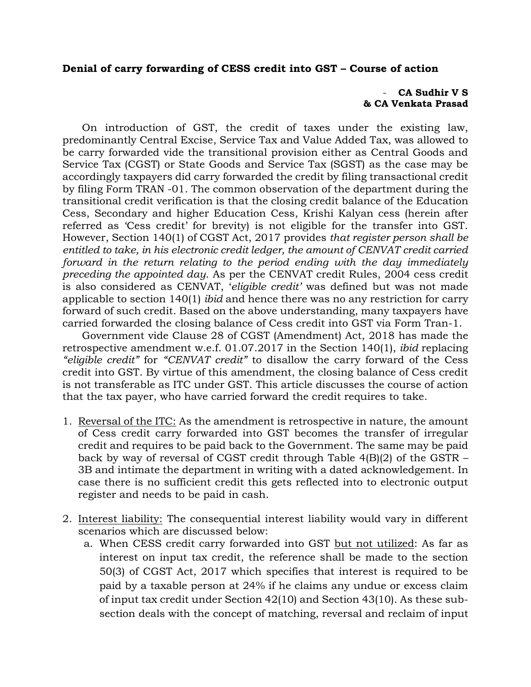## **Denial of carry forwarding of CESS credit into GST – Course of action**

## - **CA Sudhir V S & CA Venkata Prasad**

On introduction of GST, the credit of taxes under the existing law, predominantly Central Excise, Service Tax and Value Added Tax, was allowed to be carry forwarded vide the transitional provision either as Central Goods and Service Tax (CGST) or State Goods and Service Tax (SGST) as the case may be accordingly taxpayers did carry forwarded the credit by filing transactional credit by filing Form TRAN -01. The common observation of the department during the transitional credit verification is that the closing credit balance of the Education Cess, Secondary and higher Education Cess, Krishi Kalyan cess (herein after referred as 'Cess credit' for brevity) is not eligible for the transfer into GST. However, Section 140(1) of CGST Act, 2017 provides *that register person shall be entitled to take, in his electronic credit ledger, the amount of CENVAT credit carried forward in the return relating to the period ending with the day immediately preceding the appointed day*. As per the CENVAT credit Rules, 2004 cess credit is also considered as CENVAT, '*eligible credit'* was defined but was not made applicable to section 140(1) *ibid* and hence there was no any restriction for carry forward of such credit. Based on the above understanding, many taxpayers have carried forwarded the closing balance of Cess credit into GST via Form Tran-1.

Government vide Clause 28 of CGST (Amendment) Act, 2018 has made the retrospective amendment w.e.f. 01.07.2017 in the Section 140(1), *ibid* replacing *"eligible credit"* for *"CENVAT credit"* to disallow the carry forward of the Cess credit into GST. By virtue of this amendment, the closing balance of Cess credit is not transferable as ITC under GST. This article discusses the course of action that the tax payer, who have carried forward the credit requires to take.

- 1. Reversal of the ITC: As the amendment is retrospective in nature, the amount of Cess credit carry forwarded into GST becomes the transfer of irregular credit and requires to be paid back to the Government. The same may be paid back by way of reversal of CGST credit through Table 4(B)(2) of the GSTR – 3B and intimate the department in writing with a dated acknowledgement. In case there is no sufficient credit this gets reflected into to electronic output register and needs to be paid in cash.
- 2. Interest liability: The consequential interest liability would vary in different scenarios which are discussed below:
	- a. When CESS credit carry forwarded into GST but not utilized: As far as interest on input tax credit, the reference shall be made to the section 50(3) of CGST Act, 2017 which specifies that interest is required to be paid by a taxable person at 24% if he claims any undue or excess claim of input tax credit under Section 42(10) and Section 43(10). As these subsection deals with the concept of matching, reversal and reclaim of input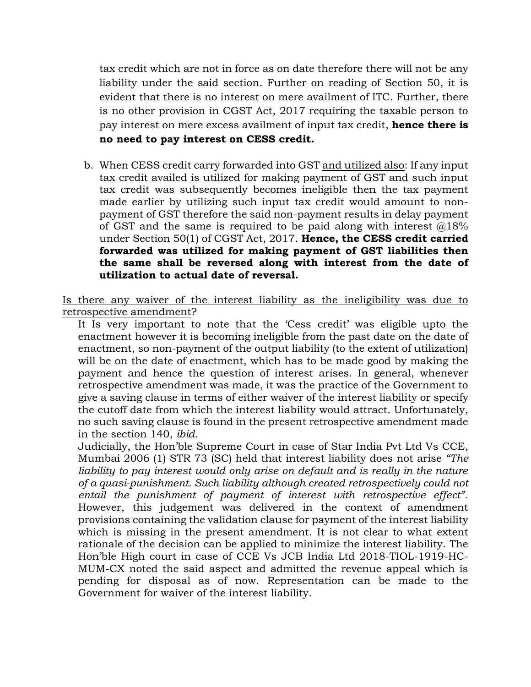tax credit which are not in force as on date therefore there will not be any liability under the said section. Further on reading of Section 50, it is evident that there is no interest on mere availment of ITC. Further, there is no other provision in CGST Act, 2017 requiring the taxable person to pay interest on mere excess availment of input tax credit, **hence there is no need to pay interest on CESS credit.**

b. When CESS credit carry forwarded into GST and utilized also: If any input tax credit availed is utilized for making payment of GST and such input tax credit was subsequently becomes ineligible then the tax payment made earlier by utilizing such input tax credit would amount to nonpayment of GST therefore the said non-payment results in delay payment of GST and the same is required to be paid along with interest  $@18\%$ under Section 50(1) of CGST Act, 2017. **Hence, the CESS credit carried forwarded was utilized for making payment of GST liabilities then the same shall be reversed along with interest from the date of utilization to actual date of reversal.**

Is there any waiver of the interest liability as the ineligibility was due to retrospective amendment?

It Is very important to note that the 'Cess credit' was eligible upto the enactment however it is becoming ineligible from the past date on the date of enactment, so non-payment of the output liability (to the extent of utilization) will be on the date of enactment, which has to be made good by making the payment and hence the question of interest arises. In general, whenever retrospective amendment was made, it was the practice of the Government to give a saving clause in terms of either waiver of the interest liability or specify the cutoff date from which the interest liability would attract. Unfortunately, no such saving clause is found in the present retrospective amendment made in the section 140, *ibid.*

Judicially, the Hon'ble Supreme Court in case of Star India Pvt Ltd Vs CCE, Mumbai 2006 (1) STR 73 (SC) held that interest liability does not arise *"The*  liability to pay interest would only arise on default and is really in the nature *of a quasi-punishment. Such liability although created retrospectively could not entail the punishment of payment of interest with retrospective effect".* However, this judgement was delivered in the context of amendment provisions containing the validation clause for payment of the interest liability which is missing in the present amendment. It is not clear to what extent rationale of the decision can be applied to minimize the interest liability. The Hon'ble High court in case of [CCE Vs JCB India Ltd](https://taxindiaonline.com/RC2/caseLawDet.php?QoPmnXyZ=MTQwOTU0) 2018-TIOL-1919-HC-MUM-CX noted the said aspect and admitted the revenue appeal which is pending for disposal as of now. Representation can be made to the Government for waiver of the interest liability.